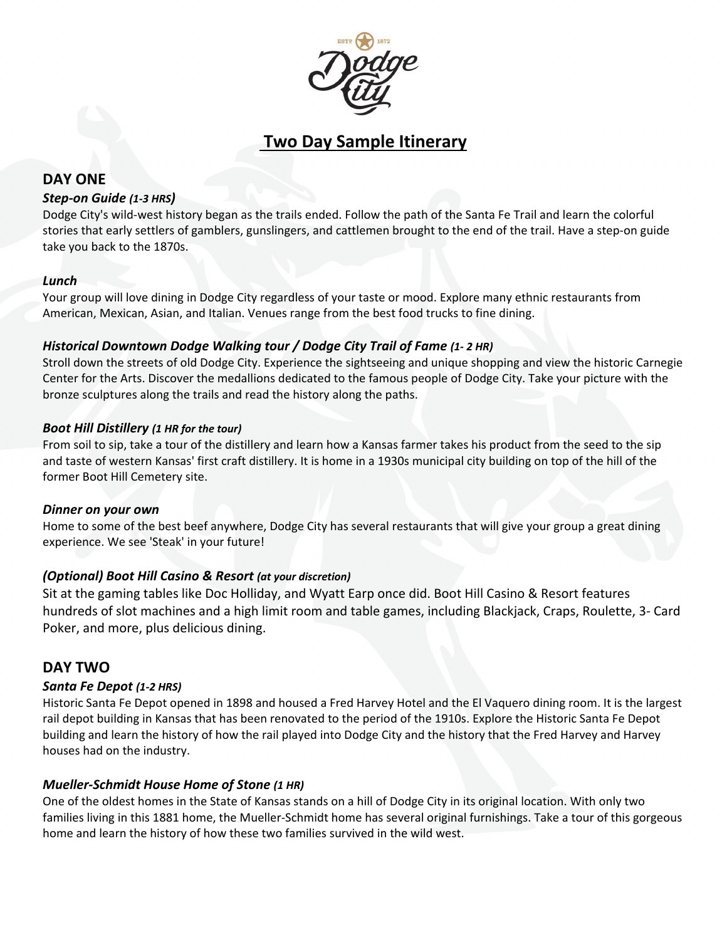

# **Two Day Sample Itinerary**

# **DAY ONE**

## *Step-on Guide (1-3 HRS)*

Dodge City's wild-west history began as the trails ended. Follow the path of the Santa Fe Trail and learn the colorful stories that early settlers of gamblers, gunslingers, and cattlemen brought to the end of the trail. Have a step-on guide take you back to the 1870s.

## *Lunch*

Your group will love dining in Dodge City regardless of your taste or mood. Explore many ethnic restaurants from American, Mexican, Asian, and Italian. Venues range from the best food trucks to fine dining.

# *Historical Downtown Dodge Walking tour / Dodge City Trail of Fame (1- 2 HR)*

Stroll down the streets of old Dodge City. Experience the sightseeing and unique shopping and view the historic Carnegie Center for the Arts. Discover the medallions dedicated to the famous people of Dodge City. Take your picture with the bronze sculptures along the trails and read the history along the paths.

## *Boot Hill Distillery (1 HR for the tour)*

From soil to sip, take a tour of the distillery and learn how a Kansas farmer takes his product from the seed to the sip and taste of western Kansas' first craft distillery. It is home in a 1930s municipal city building on top of the hill of the former Boot Hill Cemetery site.

#### *Dinner on your own*

Home to some of the best beef anywhere, Dodge City has several restaurants that will give your group a great dining experience. We see 'Steak' in your future!

# *(Optional) Boot Hill Casino & Resort (at your discretion)*

Sit at the gaming tables like Doc Holliday, and Wyatt Earp once did. Boot Hill Casino & Resort features hundreds of slot machines and a high limit room and table games, including Blackjack, Craps, Roulette, 3- Card Poker, and more, plus delicious dining.

# **DAY TWO**

# *Santa Fe Depot (1-2 HRS)*

Historic Santa Fe Depot opened in 1898 and housed a Fred Harvey Hotel and the El Vaquero dining room. It is the largest rail depot building in Kansas that has been renovated to the period of the 1910s. Explore the Historic Santa Fe Depot building and learn the history of how the rail played into Dodge City and the history that the Fred Harvey and Harvey houses had on the industry.

# *Mueller-Schmidt House Home of Stone (1 HR)*

One of the oldest homes in the State of Kansas stands on a hill of Dodge City in its original location. With only two families living in this 1881 home, the Mueller-Schmidt home has several original furnishings. Take a tour of this gorgeous home and learn the history of how these two families survived in the wild west.